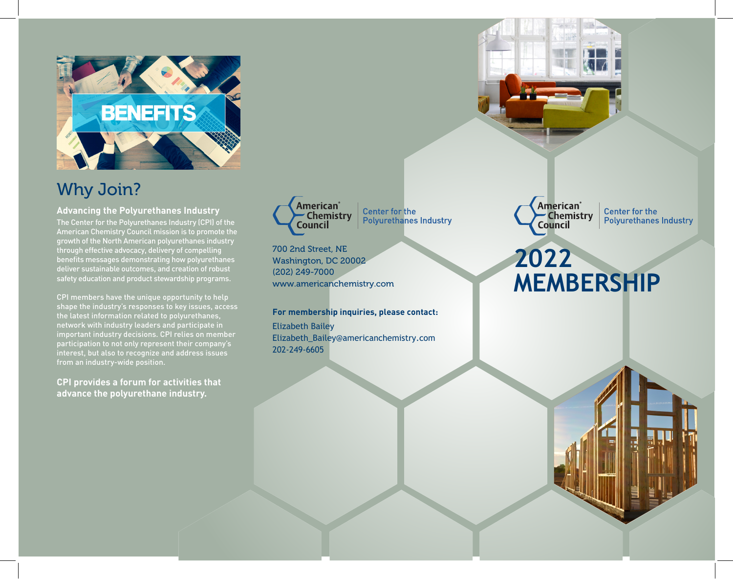

## Why Join?

**Advancing the Polyurethanes Industry** The Center for the Polyurethanes Industry (CPI) of the American Chemistry Council mission is to promote the growth of the North American polyurethanes industry through effective advocacy, delivery of compelling benefits messages demonstrating how polyurethanes deliver sustainable outcomes, and creation of robust safety education and product stewardship programs.

CPI members have the unique opportunity to help shape the industry's responses to key issues, access the latest information related to polyurethanes, network with industry leaders and participate in important industry decisions. CPI relies on member participation to not only represent their company's interest, but also to recognize and address issues from an industry-wide position.

**CPI provides a forum for activities that advance the polyurethane industry.**



**Center for the Polyurethanes Industry** 

700 2nd Street, NE Washington, DC 20002 (202) 249-7000 www.americanchemistry.com

**For membership inquiries, please contact:**

Elizabeth Bailey Elizabeth\_Bailey@americanchemistry.com 202-249-6605



**Center for the Polyurethanes Industry** 

# **2022 MEMBERSHIP**